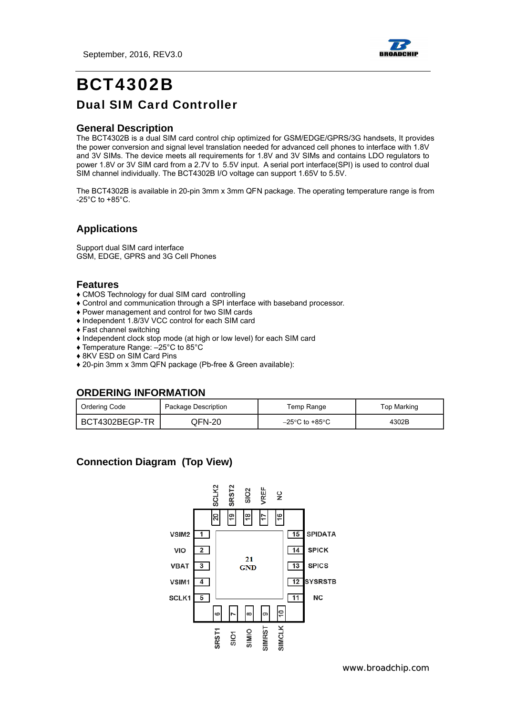September, 2016, REV3.0



# BCT4302B Dual SIM Card Controller

### **General Description**

The BCT4302B is a dual SIM card control chip optimized for GSM/EDGE/GPRS/3G handsets, It provides the power conversion and signal level translation needed for advanced cell phones to interface with 1.8V and 3V SIMs. The device meets all requirements for 1.8V and 3V SIMs and contains LDO regulators to power 1.8V or 3V SIM card from a 2.7V to 5.5V input. A serial port interface(SPI) is used to control dual SIM channel individually. The BCT4302B I/O voltage can support 1.65V to 5.5V.

The BCT4302B is available in 20-pin 3mm x 3mm QFN package. The operating temperature range is from -25°C to +85°C.

### **Applications**

Support dual SIM card interface GSM, EDGE, GPRS and 3G Cell Phones

### **Features**

- ♦ CMOS Technology for dual SIM card controlling
- ♦ Control and communication through a SPI interface with baseband processor.
- ♦ Power management and control for two SIM cards
- ♦ Independent 1.8/3V VCC control for each SIM card
- ♦ Fast channel switching
- ♦ Independent clock stop mode (at high or low level) for each SIM card
- ♦ Temperature Range: –25°C to 85°C
- ♦ 8KV ESD on SIM Card Pins
- ♦ 20-pin 3mm x 3mm QFN package (Pb-free & Green available):

### **ORDERING INFORMATION**

| Ordering Code<br>Package Description |         | Temp Range                          | Top Marking |
|--------------------------------------|---------|-------------------------------------|-------------|
| BCT4302BEGP-TR                       | QFN-20. | $-25^{\circ}$ C to +85 $^{\circ}$ C | 4302B       |

### **Connection Diagram (Top View)**

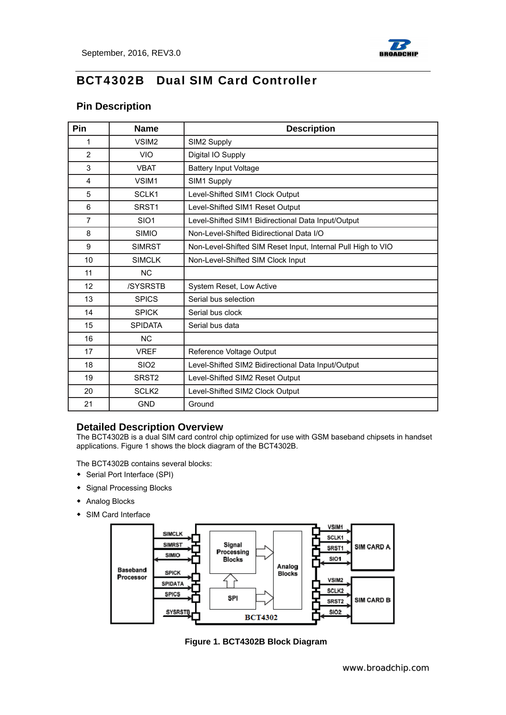

### **Pin Description**

| Pin            | <b>Name</b>       | <b>Description</b>                                           |  |  |
|----------------|-------------------|--------------------------------------------------------------|--|--|
| 1              | VSIM <sub>2</sub> | SIM2 Supply                                                  |  |  |
| $\overline{2}$ | <b>VIO</b>        | Digital IO Supply                                            |  |  |
| 3              | <b>VBAT</b>       | <b>Battery Input Voltage</b>                                 |  |  |
| 4              | VSIM1             | SIM1 Supply                                                  |  |  |
| 5              | SCLK1             | Level-Shifted SIM1 Clock Output                              |  |  |
| 6              | SRST <sub>1</sub> | Level-Shifted SIM1 Reset Output                              |  |  |
| $\overline{7}$ | SIO <sub>1</sub>  | Level-Shifted SIM1 Bidirectional Data Input/Output           |  |  |
| 8              | <b>SIMIO</b>      | Non-Level-Shifted Bidirectional Data I/O                     |  |  |
| 9              | <b>SIMRST</b>     | Non-Level-Shifted SIM Reset Input, Internal Pull High to VIO |  |  |
| 10             | <b>SIMCLK</b>     | Non-Level-Shifted SIM Clock Input                            |  |  |
| 11             | <b>NC</b>         |                                                              |  |  |
| 12             | /SYSRSTB          | System Reset, Low Active                                     |  |  |
| 13             | <b>SPICS</b>      | Serial bus selection                                         |  |  |
| 14             | <b>SPICK</b>      | Serial bus clock                                             |  |  |
| 15             | <b>SPIDATA</b>    | Serial bus data                                              |  |  |
| 16             | <b>NC</b>         |                                                              |  |  |
| 17             | <b>VREF</b>       | Reference Voltage Output                                     |  |  |
| 18             | SI <sub>O</sub> 2 | Level-Shifted SIM2 Bidirectional Data Input/Output           |  |  |
| 19             | SRST <sub>2</sub> | Level-Shifted SIM2 Reset Output                              |  |  |
| 20             | SCLK <sub>2</sub> | Level-Shifted SIM2 Clock Output                              |  |  |
| 21             | <b>GND</b>        | Ground                                                       |  |  |

### **Detailed Description Overview**

The BCT4302B is a dual SIM card control chip optimized for use with GSM baseband chipsets in handset applications. Figure 1 shows the block diagram of the BCT4302B.

The BCT4302B contains several blocks:

- ◆ Serial Port Interface (SPI)
- ◆ Signal Processing Blocks
- ◆ Analog Blocks
- ◆ SIM Card Interface



**Figure 1. BCT4302B Block Diagram**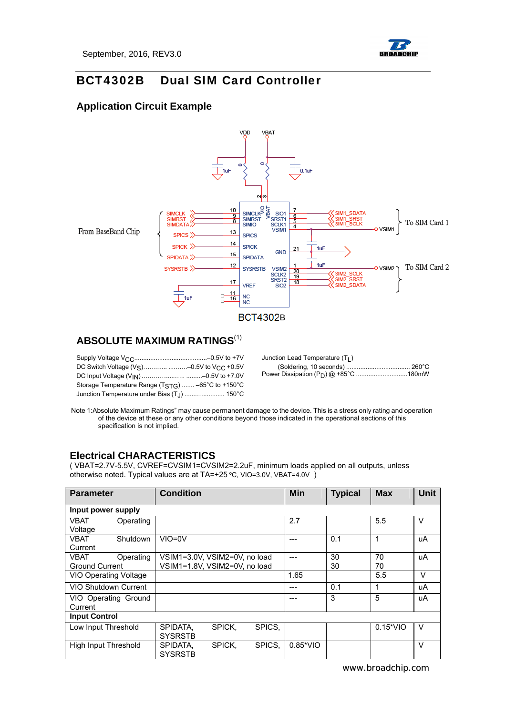

### **Application Circuit Example**



### **ABSOLUTE MAXIMUM RATINGS**(1)

| Storage Temperature Range (T <sub>STG</sub> )  -65°C to +150°C |  |
|----------------------------------------------------------------|--|
| Junction Temperature under Bias (T <sub>J</sub> )  150°C       |  |

| Junction Lead Temperature (T <sub>1</sub> ) |  |
|---------------------------------------------|--|
|                                             |  |
|                                             |  |

Note 1:Absolute Maximum Ratings" may cause permanent damage to the device. This is a stress only rating and operation of the device at these or any other conditions beyond those indicated in the operational sections of this specification is not implied.

### **Electrical CHARACTERISTICS**

( VBAT=2.7V-5.5V, CVREF=CVSIM1=CVSIM2=2.2uF, minimum loads applied on all outputs, unless otherwise noted. Typical values are at TA=+25 ºC, VIO=3.0V, VBAT=4.0V )

| <b>Parameter</b>      |           | <b>Condition</b>              |        | <b>Min</b> | <b>Typical</b>    | <b>Max</b> | <b>Unit</b> |        |
|-----------------------|-----------|-------------------------------|--------|------------|-------------------|------------|-------------|--------|
| Input power supply    |           |                               |        |            |                   |            |             |        |
| <b>VBAT</b>           | Operating |                               |        |            | 2.7               |            | 5.5         | v      |
| Voltage               |           |                               |        |            |                   |            |             |        |
| VBAT                  | Shutdown  | $VIO=0V$                      |        |            | ---               | 0.1        | 1           | uA     |
| Current               |           |                               |        |            |                   |            |             |        |
| VBAT                  | Operating | VSIM1=3.0V, VSIM2=0V, no load |        |            | ---               | 30         | 70          | uA     |
| <b>Ground Current</b> |           | VSIM1=1.8V. VSIM2=0V, no load |        |            |                   | 30         | 70          |        |
| VIO Operating Voltage |           |                               |        |            | 1.65              |            | 5.5         | $\vee$ |
| VIO Shutdown Current  |           |                               |        |            | ---               | 0.1        | 1           | uA     |
| VIO Operating Ground  |           |                               |        |            | ---               | 3          | 5           | uA     |
| Current               |           |                               |        |            |                   |            |             |        |
| <b>Input Control</b>  |           |                               |        |            |                   |            |             |        |
| Low Input Threshold   |           | SPIDATA.                      | SPICK. | SPICS.     |                   |            | $0.15*VIO$  | V      |
|                       |           | <b>SYSRSTB</b>                |        |            |                   |            |             |        |
| High Input Threshold  |           | SPIDATA.                      | SPICK. | SPICS.     | $0.85^{\ast}$ VIO |            |             | $\vee$ |
|                       |           | <b>SYSRSTB</b>                |        |            |                   |            |             |        |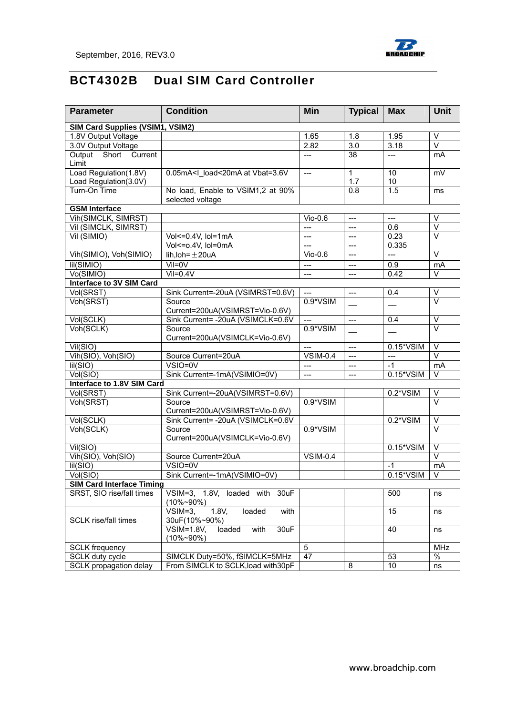

| <b>Parameter</b>                    | <b>Condition</b>                                                                                                                    | Min                           | <b>Typical</b>   | <b>Max</b>     | Unit                    |
|-------------------------------------|-------------------------------------------------------------------------------------------------------------------------------------|-------------------------------|------------------|----------------|-------------------------|
| SIM Card Supplies (VSIM1, VSIM2)    |                                                                                                                                     |                               |                  |                |                         |
| 1.8V Output Voltage                 |                                                                                                                                     | 1.65                          | 1.8              | 1.95           | $\vee$                  |
| 3.0V Output Voltage                 |                                                                                                                                     | 2.82                          | $\overline{3.0}$ | 3.18           | $\overline{\vee}$       |
| Output<br>Short<br>Current<br>Limit |                                                                                                                                     | $---$                         | $\overline{38}$  | $---$          | mA                      |
| Load Regulation(1.8V)               | 0.05mA <l at="" load<20ma="" vbat="3.6V&lt;/td"><td><math>---</math></td><td><math>\mathbf{1}</math></td><td>10</td><td>mV</td></l> | $---$                         | $\mathbf{1}$     | 10             | mV                      |
| Load Regulation(3.0V)               |                                                                                                                                     |                               | 1.7              | 10             |                         |
| Turn-On Time                        | No load, Enable to VSIM1,2 at 90%<br>selected voltage                                                                               |                               | $\overline{0.8}$ | 1.5            | ms                      |
| <b>GSM</b> Interface                |                                                                                                                                     |                               |                  |                |                         |
| Vih(SIMCLK, SIMRST)                 |                                                                                                                                     | $V$ io-0.6                    | $---$            | ---            | V                       |
| Vil (SIMCLK, SIMRST)                |                                                                                                                                     | $---$                         | $---$            | 0.6            | $\vee$                  |
| Vil (SIMIO)                         | Vol<=0.4V, lol=1mA                                                                                                                  | $---$                         | $---$            | 0.23           | $\overline{\vee}$       |
|                                     | Vol<= 0.4V, Iol=0mA                                                                                                                 |                               | $---$            | 0.335          |                         |
| Vih(SIMIO), Voh(SIMIO)              | lih, loh = $\pm$ 20uA                                                                                                               | $V$ io-0.6                    | $---$            | $\overline{a}$ | $\vee$                  |
| lil(SIMIO)                          | $Vil = 0V$                                                                                                                          | $\qquad \qquad - -$           | $---$            | 0.9            | mA                      |
| Vo(SIMIO)                           | $Vil = 0.4V$                                                                                                                        | ---                           | ---              | 0.42           | V                       |
| <b>Interface to 3V SIM Card</b>     |                                                                                                                                     |                               |                  |                |                         |
| Vol(SRST)                           | Sink Current=-20uA (VSIMRST=0.6V)                                                                                                   | $---$                         | $---$            | 0.4            | $\overline{\vee}$       |
| Voh(SRST)                           | Source<br>Current=200uA(VSIMRST=Vio-0.6V)                                                                                           | 0.9*VSIM                      |                  |                | $\overline{\vee}$       |
| Vol(SCLK)                           | Sink Current= -20uA (VSIMCLK=0.6V                                                                                                   | $---$                         | $---$            | 0.4            | V                       |
| Voh(SCLK)                           | Source<br>Current=200uA(VSIMCLK=Vio-0.6V)                                                                                           | 0.9*VSIM                      |                  |                | $\overline{\mathsf{v}}$ |
| Vil(SIO)                            |                                                                                                                                     | $\overline{a}$                | $---$            | 0.15*VSIM      | $\vee$                  |
| Vih(SIO), Voh(SIO)                  | Source Current=20uA                                                                                                                 | $\overline{\text{VSIM}}$ -0.4 | $---$            | $\overline{a}$ | $\vee$                  |
| Iil(SIO)                            | $VSIO=0V$                                                                                                                           | ---                           | ---              | $-1$           | mA                      |
| Vol(SIO)                            | Sink Current=-1mA(VSIMIO=0V)                                                                                                        |                               |                  | 0.15*VSIM      | V                       |
| Interface to 1.8V SIM Card          |                                                                                                                                     |                               |                  |                |                         |
| Vol(SRST)                           | Sink Current=-20uA(VSIMRST=0.6V)                                                                                                    |                               |                  | 0.2*VSIM       | $\vee$                  |
| Voh(SRST)                           | Source<br>Current=200uA(VSIMRST=Vio-0.6V)                                                                                           | 0.9*VSIM                      |                  |                | $\vee$                  |
| Vol(SCLK)                           | Sink Current= - 20uA (VSIMCLK=0.6V                                                                                                  |                               |                  | 0.2*VSIM       | $\overline{\vee}$       |
| Voh(SCLK)                           | Source<br>Current=200uA(VSIMCLK=Vio-0.6V)                                                                                           | 0.9*VSIM                      |                  |                | $\overline{\mathsf{v}}$ |
| Vil(SIO)                            |                                                                                                                                     |                               |                  | 0.15*VSIM      | $\sf V$                 |
| Vih(SIO), Voh(SIO)                  | Source Current=20uA                                                                                                                 | <b>VSIM-0.4</b>               |                  |                | $\vee$                  |
| Iil(SIO)                            | $VSIO=0V$                                                                                                                           |                               |                  | $-1$           | mA                      |
| Vol(SIO)                            | Sink Current=-1mA(VSIMIO=0V)                                                                                                        |                               |                  | 0.15*VSIM      | $\vee$                  |
| <b>SIM Card Interface Timing</b>    |                                                                                                                                     |                               |                  |                |                         |
| SRST, SIO rise/fall times           | VSIM=3, 1.8V, loaded with 30uF<br>$(10\% \sim 90\%)$                                                                                |                               |                  | 500            | ns                      |
| <b>SCLK</b> rise/fall times         | 1.8V<br>loaded<br>$VSIM=3$<br>with<br>30uF(10%~90%)                                                                                 |                               |                  | 15             | ns                      |
|                                     | $VSIM=1.8V$ ,<br>with<br>30uF<br>loaded<br>(10%~90%)                                                                                |                               |                  | 40             | ns                      |
| <b>SCLK</b> frequency               |                                                                                                                                     | 5                             |                  |                | MHz                     |
| SCLK duty cycle                     | SIMCLK Duty=50%, fSIMCLK=5MHz                                                                                                       | $\overline{47}$               |                  | 53             | $\%$                    |
| SCLK propagation delay              | From SIMCLK to SCLK, load with 30pF                                                                                                 |                               | 8                | $10$           | ns                      |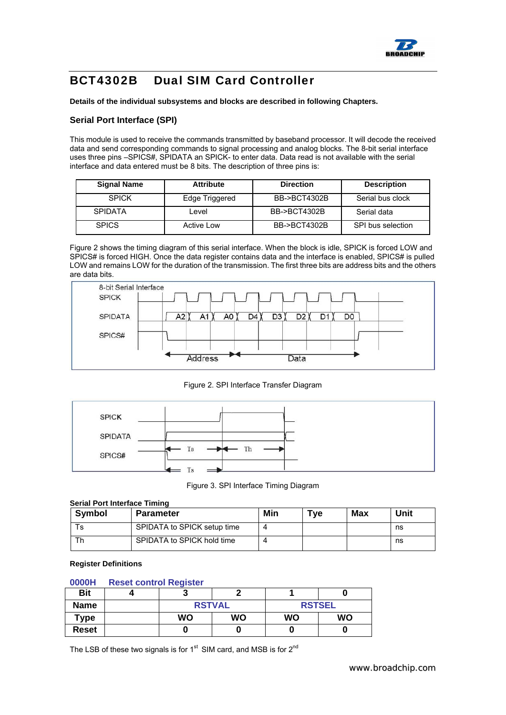

**Details of the individual subsystems and blocks are described in following Chapters.** 

#### **Serial Port Interface (SPI)**

This module is used to receive the commands transmitted by baseband processor. It will decode the received data and send corresponding commands to signal processing and analog blocks. The 8-bit serial interface uses three pins –SPICS#, SPIDATA an SPICK- to enter data. Data read is not available with the serial interface and data entered must be 8 bits. The description of three pins is:

| <b>Signal Name</b> | <b>Attribute</b> | <b>Direction</b> | <b>Description</b> |
|--------------------|------------------|------------------|--------------------|
| <b>SPICK</b>       | Edge Triggered   | BB->BCT4302B     | Serial bus clock   |
| <b>SPIDATA</b>     | Level            | BB->BCT4302B     | Serial data        |
| <b>SPICS</b>       | Active Low       | BB->BCT4302B     | SPI bus selection  |

Figure 2 shows the timing diagram of this serial interface. When the block is idle, SPICK is forced LOW and SPICS# is forced HIGH. Once the data register contains data and the interface is enabled, SPICS# is pulled LOW and remains LOW for the duration of the transmission. The first three bits are address bits and the others are data bits.



Figure 2. SPI Interface Transfer Diagram



Figure 3. SPI Interface Timing Diagram

#### **Serial Port Interface Timing**

| Symbol | <b>Parameter</b>            | Min | ™e | Max | Unit |
|--------|-----------------------------|-----|----|-----|------|
| -S     | SPIDATA to SPICK setup time |     |    |     | ns   |
|        | SPIDATA to SPICK hold time  |     |    |     | ns   |

#### **Register Definitions**

#### **0000H Reset control Register**

| <b>Bit</b>  |           | ∼             |               |           |  |
|-------------|-----------|---------------|---------------|-----------|--|
| <b>Name</b> |           | <b>RSTVAL</b> | <b>RSTSEL</b> |           |  |
| Type        | <b>WO</b> | <b>WO</b>     | WO            | <b>WO</b> |  |
| Reset       |           | u             |               |           |  |

The LSB of these two signals is for  $1<sup>st</sup>$  SIM card, and MSB is for  $2<sup>nd</sup>$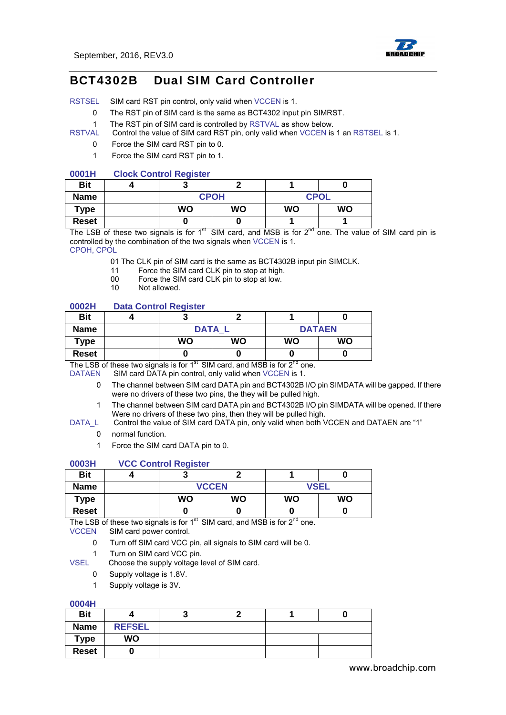

RSTSEL SIM card RST pin control, only valid when VCCEN is 1.

- 0 The RST pin of SIM card is the same as BCT4302 input pin SIMRST.
- 1 The RST pin of SIM card is controlled by RSTVAL as show below.
- RSTVAL Control the value of SIM card RST pin, only valid when VCCEN is 1 an RSTSEL is 1.
	- 0 Force the SIM card RST pin to 0.
		- 1 Force the SIM card RST pin to 1.

#### **0001H Clock Control Register**

| <b>Bit</b>   |           |             |             |           |
|--------------|-----------|-------------|-------------|-----------|
| <b>Name</b>  |           | <b>CPOH</b> | <b>CPOL</b> |           |
| <b>Type</b>  | <b>WO</b> | <b>WO</b>   | <b>WO</b>   | <b>WO</b> |
| <b>Reset</b> |           | υ           |             |           |

The LSB of these two signals is for  $1<sup>st</sup>$  SIM card, and MSB is for  $2<sup>nd</sup>$  one. The value of SIM card pin is controlled by the combination of the two signals when VCCEN is 1.

CPOH, CPOL

- 01 The CLK pin of SIM card is the same as BCT4302B input pin SIMCLK.
- 11 Force the SIM card CLK pin to stop at high.
- 00 Force the SIM card CLK pin to stop at low.
- 10 Not allowed.

#### **0002H Data Control Register**

| <b>Bit</b>   |             | n         |           |               |
|--------------|-------------|-----------|-----------|---------------|
| <b>Name</b>  | <b>DATA</b> |           |           | <b>DATAEN</b> |
| Type         | <b>WO</b>   | <b>WO</b> | <b>WO</b> | <b>WO</b>     |
| <b>Reset</b> |             | O         |           |               |

The LSB of these two signals is for  $1<sup>st</sup>$  SIM card, and MSB is for  $2<sup>nd</sup>$  one.

DATAEN SIM card DATA pin control, only valid when VCCEN is 1.

- 0 The channel between SIM card DATA pin and BCT4302B I/O pin SIMDATA will be gapped. If there were no drivers of these two pins, the they will be pulled high.
- 1 The channel between SIM card DATA pin and BCT4302B I/O pin SIMDATA will be opened. If there Were no drivers of these two pins, then they will be pulled high.
- DATA L Control the value of SIM card DATA pin, only valid when both VCCEN and DATAEN are "1"
	- 0 normal function.
	- 1 Force the SIM card DATA pin to 0.

#### **0003H VCC Control Register**

| <b>Bit</b>  |              |           |             | u         |
|-------------|--------------|-----------|-------------|-----------|
| <b>Name</b> | <b>VCCEN</b> |           | <b>VSEL</b> |           |
| Type        | <b>WO</b>    | <b>WO</b> | <b>WO</b>   | <b>WO</b> |
| Reset       |              |           |             | υ         |

The LSB of these two signals is for  $1<sup>st</sup>$  SIM card, and MSB is for  $2<sup>nd</sup>$  one.

VCCEN SIM card power control.

0 Turn off SIM card VCC pin, all signals to SIM card will be 0.

1 Turn on SIM card VCC pin.

VSEL Choose the supply voltage level of SIM card.

- 0 Supply voltage is 1.8V.
- 1 Supply voltage is 3V.

#### **0004H**

| <b>Bit</b>   |               |  |  |
|--------------|---------------|--|--|
| <b>Name</b>  | <b>REFSEL</b> |  |  |
| Type         | WO            |  |  |
| <b>Reset</b> |               |  |  |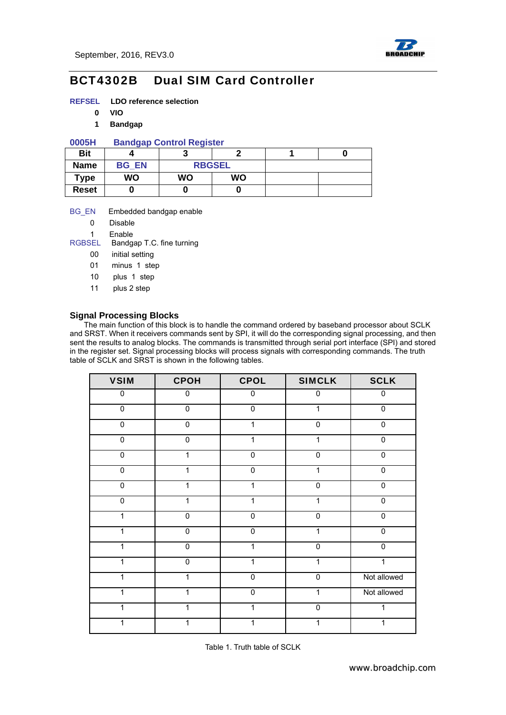

- **REFSEL LDO reference selection** 
	- **0 VIO**
	- **1 Bandgap**

#### **0005H Bandgap Control Register**

| <b>Bit</b>   |              |               |           |  |
|--------------|--------------|---------------|-----------|--|
| <b>Name</b>  | <b>BG EN</b> | <b>RBGSEL</b> |           |  |
| Type         | WO           | WO            | <b>WO</b> |  |
| <b>Reset</b> |              |               | O         |  |

#### BG\_EN Embedded bandgap enable

- 0 Disable
- 
- 1 Enable<br>RGBSEL Bandg Bandgap T.C. fine turning
	- 00 initial setting
	- 01 minus 1 step
	- 10 plus 1 step
	- 11 plus 2 step

#### **Signal Processing Blocks**

The main function of this block is to handle the command ordered by baseband processor about SCLK and SRST. When it receivers commands sent by SPI, it will do the corresponding signal processing, and then sent the results to analog blocks. The commands is transmitted through serial port interface (SPI) and stored in the register set. Signal processing blocks will process signals with corresponding commands. The truth table of SCLK and SRST is shown in the following tables.

| <b>VSIM</b>    | <b>CPOH</b>    | <b>CPOL</b>    | <b>SIMCLK</b> | <b>SCLK</b> |
|----------------|----------------|----------------|---------------|-------------|
| 0              | $\pmb{0}$      | 0              | $\mathbf 0$   | $\mathbf 0$ |
| $\pmb{0}$      | $\mathbf 0$    | $\pmb{0}$      | 1             | $\mathbf 0$ |
| $\mathbf 0$    | $\pmb{0}$      | 1              | $\mathbf 0$   | $\mathsf 0$ |
| $\pmb{0}$      | $\mathbf 0$    | 1              | 1             | $\mathbf 0$ |
| $\pmb{0}$      | 1              | 0              | $\mathbf 0$   | 0           |
| $\overline{0}$ | 1              | $\overline{0}$ | 1             | $\mathbf 0$ |
| $\mathbf 0$    | 1              | 1              | $\mathbf 0$   | $\mathbf 0$ |
| $\overline{0}$ | 1              | 1              | 1             | $\mathbf 0$ |
| $\mathbf{1}$   | $\mathbf 0$    | $\mathbf 0$    | $\mathbf 0$   | $\mathbf 0$ |
| 1              | $\mathbf 0$    | 0              | 1             | $\mathbf 0$ |
| $\mathbf{1}$   | $\overline{0}$ | 1              | $\mathbf 0$   | $\mathbf 0$ |
| $\mathbf{1}$   | $\mathbf 0$    | 1              | 1             | 1           |
| 1              | 1              | $\pmb{0}$      | $\mathbf 0$   | Not allowed |
| 1              | 1              | 0              | 1             | Not allowed |
| $\mathbf{1}$   | 1              | 1              | $\mathbf 0$   | 1           |
| 1              |                |                |               | 1           |

Table 1. Truth table of SCLK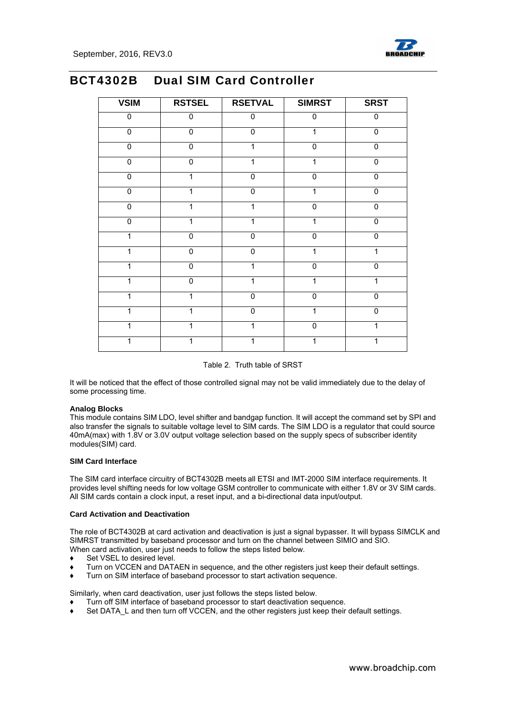

| <b>VSIM</b>    | <b>RSTSEL</b>  | <b>RSETVAL</b> | <b>SIMRST</b>  | <b>SRST</b>    |
|----------------|----------------|----------------|----------------|----------------|
| 0              | $\overline{0}$ | 0              | $\pmb{0}$      | $\mathbf 0$    |
| $\overline{0}$ | $\overline{0}$ | $\overline{0}$ | 1              | $\overline{0}$ |
| $\mathbf 0$    | $\mathbf 0$    | 1              | $\mathbf{0}$   | $\mathbf 0$    |
| $\mathbf 0$    | $\mathbf 0$    | 1              | 1              | $\mathbf 0$    |
| $\mathbf 0$    | 1              | $\overline{0}$ | $\overline{0}$ | $\mathbf 0$    |
| $\overline{0}$ |                | $\overline{0}$ | 1              | $\overline{0}$ |
| $\overline{0}$ |                | 1              | $\overline{0}$ | $\overline{0}$ |
| $\mathbf 0$    | 1              | 1              | 1              | $\mathbf 0$    |
| 1              | $\mathbf 0$    | 0              | $\mathbf 0$    | 0              |
| 1              | $\mathbf 0$    | $\pmb{0}$      | 1              | 1              |
| 1              | $\mathbf 0$    | 1              | $\overline{0}$ | $\mathbf 0$    |
| 1              | $\mathbf 0$    | 1              | 1              | 1              |
| 1              | 1              | $\overline{0}$ | $\mathbf 0$    | $\mathbf 0$    |
| 1              |                | 0              | 1              | $\mathbf 0$    |
| 1              |                | 1              | $\overline{0}$ | 1              |
|                |                | 1              |                |                |

Table 2. Truth table of SRST

It will be noticed that the effect of those controlled signal may not be valid immediately due to the delay of some processing time.

#### **Analog Blocks**

This module contains SIM LDO, level shifter and bandgap function. It will accept the command set by SPI and also transfer the signals to suitable voltage level to SIM cards. The SIM LDO is a regulator that could source 40mA(max) with 1.8V or 3.0V output voltage selection based on the supply specs of subscriber identity modules(SIM) card.

#### **SIM Card Interface**

The SIM card interface circuitry of BCT4302B meets all ETSI and IMT-2000 SIM interface requirements. It provides level shifting needs for low voltage GSM controller to communicate with either 1.8V or 3V SIM cards. All SIM cards contain a clock input, a reset input, and a bi-directional data input/output.

#### **Card Activation and Deactivation**

The role of BCT4302B at card activation and deactivation is just a signal bypasser. It will bypass SIMCLK and SIMRST transmitted by baseband processor and turn on the channel between SIMIO and SIO. When card activation, user just needs to follow the steps listed below.

- ♦ Set VSEL to desired level.
- Turn on VCCEN and DATAEN in sequence, and the other registers just keep their default settings.
- Turn on SIM interface of baseband processor to start activation sequence.

Similarly, when card deactivation, user just follows the steps listed below.

- Turn off SIM interface of baseband processor to start deactivation sequence.
- Set DATA L and then turn off VCCEN, and the other registers just keep their default settings.